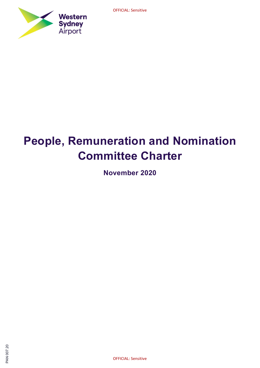

# People, Remuneration and Nomination Committee Charter

November 2020

OFFICIAL: Sensitive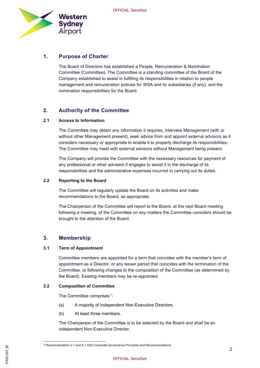

## 1. Purpose of Charter

The Board of Directors has established a People, Remuneration & Nomination Committee (Committee). The Committee is a standing committee of the Board of the Company established to assist in fulfilling its responsibilities in relation to people management and remuneration policies for WSA and its subsidiaries (if any), and the nomination responsibilities for the Board.

# 2. Authority of the Committee

#### 2.1 Access to Information

The Committee may obtain any information it requires, interview Management (with or without other Management present), seek advice from and appoint external advisors as it considers necessary or appropriate to enable it to properly discharge its responsibilities. The Committee may meet with external advisors without Management being present.

The Company will provide the Committee with the necessary resources for payment of any professional or other advisers it engages to assist it in the discharge of its responsibilities and the administrative expenses incurred in carrying out its duties.

#### 2.2 Reporting to the Board

The Committee will regularly update the Board on its activities and make recommendations to the Board, as appropriate.

The Chairperson of the Committee will report to the Board, at the next Board meeting following a meeting, of the Committee on any matters the Committee considers should be brought to the attention of the Board.

#### 3. Membership

#### 3.1 Term of Appointment

Committee members are appointed for a term that coincides with the member's term of appointment as a Director, or any lesser period that coincides with the termination of the Committee, or following changes to the composition of the Committee (as determined by the Board). Existing members may be re-appointed.

#### 3.2 Composition of Committee

The Committee comprises.<sup>1</sup>:

- (a) A majority of independent Non-Executive Directors.
- (b) At least three members.

The Chairperson of the Committee is to be selected by the Board and shall be an independent Non-Executive Director.

optimal of the commendation 2.1 and 8.1 ASX Corporate Governance Principles and R<br>Corporate Sensitive Principles and R<br>Z<br>Corporate Sensitive Corporate Sensitive Corporate Sensitive Corporate Sensitive Corporate Sensitive C 1 Recommendation 2.1 and 8.1 ASX Corporate Governance Principles and Recommendations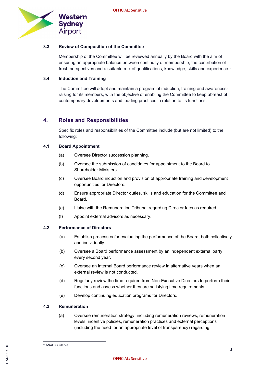

#### 3.3 Review of Composition of the Committee

Membership of the Committee will be reviewed annually by the Board with the aim of ensuring an appropriate balance between continuity of membership, the contribution of fresh perspectives and a suitable mix of qualifications, knowledge, skills and experience.<sup>2</sup>

#### 3.4 Induction and Training

The Committee will adopt and maintain a program of induction, training and awarenessraising for its members, with the objective of enabling the Committee to keep abreast of contemporary developments and leading practices in relation to its functions.

### 4. Roles and Responsibilities

Specific roles and responsibilities of the Committee include (but are not limited) to the following:

#### 4.1 Board Appointment

- (a) Oversee Director succession planning.
- (b) Oversee the submission of candidates for appointment to the Board to Shareholder Ministers.
- (c) Oversee Board induction and provision of appropriate training and development opportunities for Directors.
- (d) Ensure appropriate Director duties, skills and education for the Committee and Board.
- (e) Liaise with the Remuneration Tribunal regarding Director fees as required.
- (f) Appoint external advisors as necessary.

#### 4.2 Performance of Directors

- (a) Establish processes for evaluating the performance of the Board, both collectively and individually.
- (b) Oversee a Board performance assessment by an independent external party every second year.
- (c) Oversee an internal Board performance review in alternative years when an external review is not conducted.
- (d) Regularly review the time required from Non-Executive Directors to perform their functions and assess whether they are satisfying time requirements.
- (e) Develop continuing education programs for Directors.

#### 4.3 Remuneration

(a) Oversee remuneration strategy, including remuneration reviews, remuneration levels, incentive policies, remuneration practices and external perceptions (including the need for an appropriate level of transparency) regarding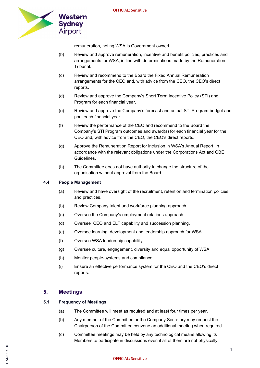

remuneration, noting WSA is Government owned.

- (b) Review and approve remuneration, incentive and benefit policies, practices and arrangements for WSA, in line with determinations made by the Remuneration **Tribunal**
- (c) Review and recommend to the Board the Fixed Annual Remuneration arrangements for the CEO and, with advice from the CEO, the CEO's direct reports.
- (d) Review and approve the Company's Short Term Incentive Policy (STI) and Program for each financial year.
- (e) Review and approve the Company's forecast and actual STI Program budget and pool each financial year.
- (f) Review the performance of the CEO and recommend to the Board the Company's STI Program outcomes and award(s) for each financial year for the CEO and, with advice from the CEO, the CEO's direct reports.
- (g) Approve the Remuneration Report for inclusion in WSA's Annual Report, in accordance with the relevant obligations under the Corporations Act and GBE Guidelines.
- (h) The Committee does not have authority to change the structure of the organisation without approval from the Board.

#### 4.4 People Management

- (a) Review and have oversight of the recruitment, retention and termination policies and practices.
- (b) Review Company talent and workforce planning approach.
- (c) Oversee the Company's employment relations approach.
- (d) Oversee CEO and ELT capability and succession planning.
- (e) Oversee learning, development and leadership approach for WSA.
- (f) Oversee WSA leadership capability.
- (g) Oversee culture, engagement, diversity and equal opportunity of WSA.
- (h) Monitor people-systems and compliance.
- (i) Ensure an effective performance system for the CEO and the CEO's direct reports.

#### 5. Meetings

#### 5.1 Frequency of Meetings

- (a) The Committee will meet as required and at least four times per year.
- (b) Any member of the Committee or the Company Secretary may request the Chairperson of the Committee convene an additional meeting when required.
- (c) Committee meetings may be held by any technological means allowing its Members to participate in discussions even if all of them are not physically

# 있<br>- CONS<br>- CONSINUES<br>- CONSINUES DESCRIPTION OFFICIAL: Sensitive<br>- CONSINUES DESCRIPTION OFFICIAL: Sensitive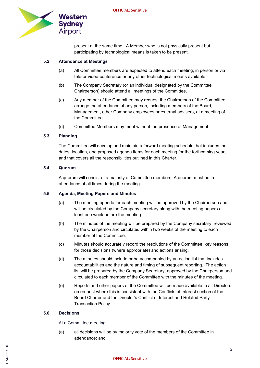

present at the same time. A Member who is not physically present but participating by technological means is taken to be present.

#### 5.2 Attendance at Meetings

- (a) All Committee members are expected to attend each meeting, in person or via tele-or video-conference or any other technological means available.
- (b) The Company Secretary (or an individual designated by the Committee Chairperson) should attend all meetings of the Committee.
- (c) Any member of the Committee may request the Chairperson of the Committee arrange the attendance of any person, including members of the Board, Management, other Company employees or external advisers, at a meeting of the Committee.
- (d) Committee Members may meet without the presence of Management.

#### 5.3 Planning

The Committee will develop and maintain a forward meeting schedule that includes the dates, location, and proposed agenda items for each meeting for the forthcoming year, and that covers all the responsibilities outlined in this Charter.

#### 5.4 Quorum

A quorum will consist of a majority of Committee members. A quorum must be in attendance at all times during the meeting.

#### 5.5 Agenda, Meeting Papers and Minutes

- (a) The meeting agenda for each meeting will be approved by the Chairperson and will be circulated by the Company secretary along with the meeting papers at least one week before the meeting.
- (b) The minutes of the meeting will be prepared by the Company secretary, reviewed by the Chairperson and circulated within two weeks of the meeting to each member of the Committee.
- (c) Minutes should accurately record the resolutions of the Committee, key reasons for those decisions (where appropriate) and actions arising.
- (d) The minutes should include or be accompanied by an action list that includes accountabilities and the nature and timing of subsequent reporting. The action list will be prepared by the Company Secretary, approved by the Chairperson and circulated to each member of the Committee with the minutes of the meeting.
- (e) Reports and other papers of the Committee will be made available to all Directors on request where this is consistent with the Conflicts of Interest section of the Board Charter and the Director's Conflict of Interest and Related Party Transaction Policy.

#### 5.6 Decisions

At a Committee meeting:

(a) all decisions will be by majority vote of the members of the Committee in attendance; and

# 있<br>- CONS<br>- CONSINUES<br>- CONSINUES DESCRIPTION OFFICIAL: Sensitive<br>- CONSINUES DESCRIPTION OFFICIAL: Sensitive